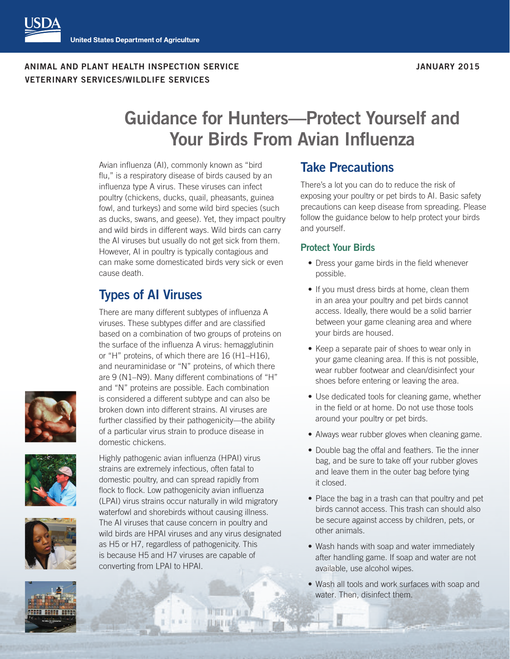**ANIMAL AND PLANT HEALTH INSPECTION SERVICE JANUARY 2015 VETERINARY SERVICES/WILDLIFE SERVICES** 

# **Guidance for Hunters—Protect Yourself and Your Birds From Avian Influenza**

Avian influenza (AI), commonly known as "bird flu," is a respiratory disease of birds caused by an influenza type A virus. These viruses can infect poultry (chickens, ducks, quail, pheasants, guinea fowl, and turkeys) and some wild bird species (such as ducks, swans, and geese). Yet, they impact poultry and wild birds in different ways. Wild birds can carry the AI viruses but usually do not get sick from them. However, AI in poultry is typically contagious and can make some domesticated birds very sick or even cause death.

## **Types of AI Viruses**

There are many different subtypes of influenza A viruses. These subtypes differ and are classified based on a combination of two groups of proteins on the surface of the influenza A virus: hemagglutinin or "H" proteins, of which there are 16 (H1–H16), and neuraminidase or "N" proteins, of which there are 9 (N1–N9). Many different combinations of "H" and "N" proteins are possible. Each combination is considered a different subtype and can also be broken down into different strains. AI viruses are further classified by their pathogenicity—the ability of a particular virus strain to produce disease in domestic chickens.







Highly pathogenic avian influenza (HPAI) virus strains are extremely infectious, often fatal to domestic poultry, and can spread rapidly from flock to flock. Low pathogenicity avian influenza (LPAI) virus strains occur naturally in wild migratory waterfowl and shorebirds without causing illness. The AI viruses that cause concern in poultry and wild birds are HPAI viruses and any virus designated as H5 or H7, regardless of pathogenicity. This is because H5 and H7 viruses are capable of converting from LPAI to HPAI.

### **Take Precautions**

There's a lot you can do to reduce the risk of exposing your poultry or pet birds to AI. Basic safety precautions can keep disease from spreading. Please follow the guidance below to help protect your birds and yourself.

#### **Protect Your Birds**

- Dress your game birds in the field whenever possible.
- If you must dress birds at home, clean them in an area your poultry and pet birds cannot access. Ideally, there would be a solid barrier between your game cleaning area and where your birds are housed.
- Keep a separate pair of shoes to wear only in your game cleaning area. If this is not possible, wear rubber footwear and clean/disinfect your shoes before entering or leaving the area.
- Use dedicated tools for cleaning game, whether in the field or at home. Do not use those tools around your poultry or pet birds.
- Always wear rubber gloves when cleaning game.
- Double bag the offal and feathers. Tie the inner bag, and be sure to take off your rubber gloves and leave them in the outer bag before tying it closed.
- Place the bag in a trash can that poultry and pet birds cannot access. This trash can should also be secure against access by children, pets, or other animals.
- Wash hands with soap and water immediately after handling game. If soap and water are not available, use alcohol wipes.
- Wash all tools and work surfaces with soap and water. Then, disinfect them.